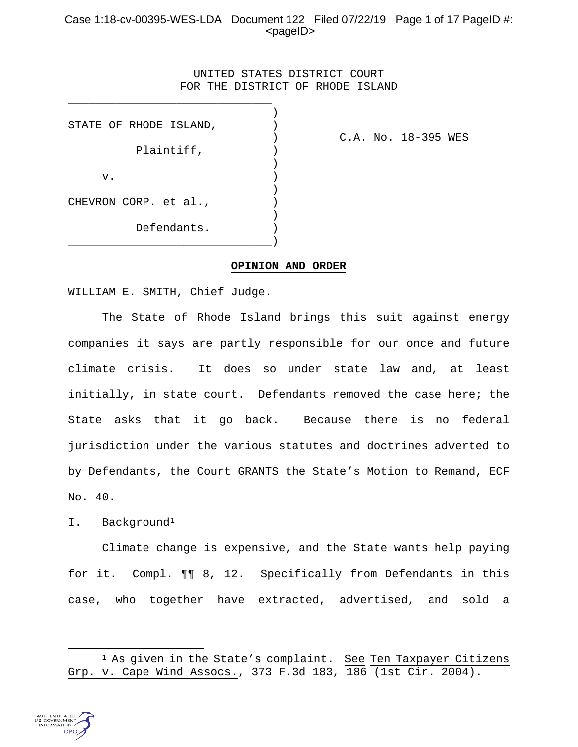# Case 1:18-cv-00395-WES-LDA Document 122 Filed 07/22/19 Page 1 of 17 PageID #: <pageID>

# UNITED STATES DISTRICT COURT FOR THE DISTRICT OF RHODE ISLAND

)

|    | STATE OF RHODE ISLAND, |             |  |
|----|------------------------|-------------|--|
|    |                        |             |  |
|    |                        | Plaintiff,  |  |
|    |                        |             |  |
| v. |                        |             |  |
|    |                        |             |  |
|    | CHEVRON CORP. et al.,  |             |  |
|    |                        |             |  |
|    |                        | Defendants. |  |
|    |                        |             |  |

\_\_\_\_\_\_\_\_\_\_\_\_\_\_\_\_\_\_\_\_\_\_\_\_\_\_\_\_\_\_

) C.A. No. 18-395 WES

#### **OPINION AND ORDER**

WILLIAM E. SMITH, Chief Judge.

The State of Rhode Island brings this suit against energy companies it says are partly responsible for our once and future climate crisis. It does so under state law and, at least initially, in state court. Defendants removed the case here; the State asks that it go back. Because there is no federal jurisdiction under the various statutes and doctrines adverted to by Defendants, the Court GRANTS the State's Motion to Remand, ECF No. 40.

I. Background[1](#page-0-0)

Climate change is expensive, and the State wants help paying for it. Compl. ¶¶ 8, 12. Specifically from Defendants in this case, who together have extracted, advertised, and sold a

<span id="page-0-0"></span><sup>&</sup>lt;sup>1</sup> As given in the State's complaint. See Ten Taxpayer Citizens Grp. v. Cape Wind Assocs., 373 F.3d 183, 186 (1st Cir. 2004).



 $\overline{\phantom{a}}$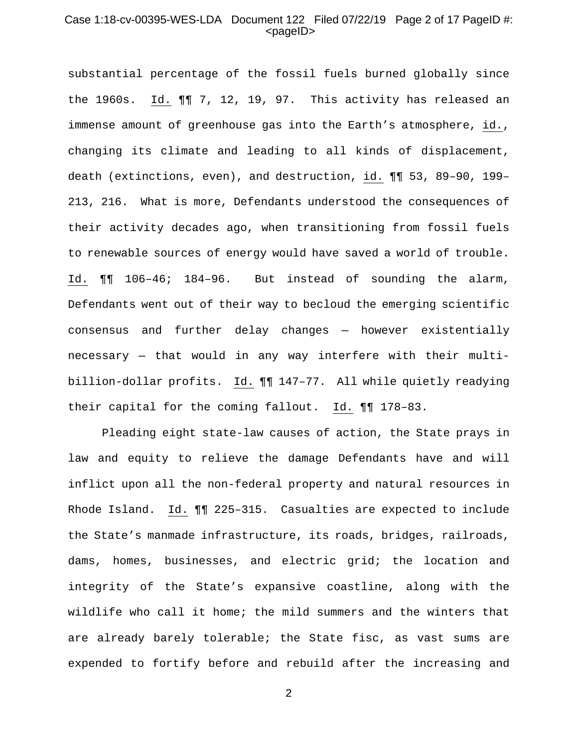# Case 1:18-cv-00395-WES-LDA Document 122 Filed 07/22/19 Page 2 of 17 PageID #: <pageID>

substantial percentage of the fossil fuels burned globally since the 1960s. Id. ¶¶ 7, 12, 19, 97. This activity has released an immense amount of greenhouse gas into the Earth's atmosphere, id., changing its climate and leading to all kinds of displacement, death (extinctions, even), and destruction, id. ¶¶ 53, 89–90, 199– 213, 216. What is more, Defendants understood the consequences of their activity decades ago, when transitioning from fossil fuels to renewable sources of energy would have saved a world of trouble. Id. ¶¶ 106–46; 184–96. But instead of sounding the alarm, Defendants went out of their way to becloud the emerging scientific consensus and further delay changes — however existentially necessary — that would in any way interfere with their multibillion-dollar profits. Id. ¶¶ 147–77. All while quietly readying their capital for the coming fallout. Id. ¶¶ 178–83.

Pleading eight state-law causes of action, the State prays in law and equity to relieve the damage Defendants have and will inflict upon all the non-federal property and natural resources in Rhode Island. Id. ¶¶ 225–315. Casualties are expected to include the State's manmade infrastructure, its roads, bridges, railroads, dams, homes, businesses, and electric grid; the location and integrity of the State's expansive coastline, along with the wildlife who call it home; the mild summers and the winters that are already barely tolerable; the State fisc, as vast sums are expended to fortify before and rebuild after the increasing and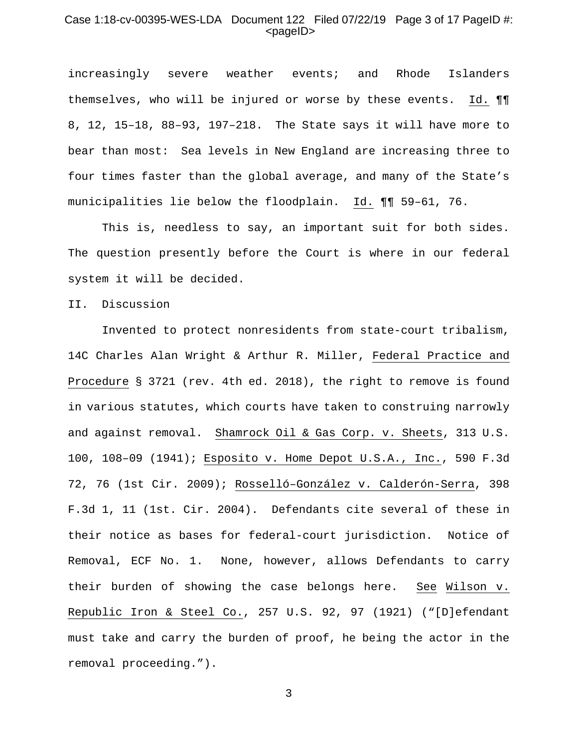#### Case 1:18-cv-00395-WES-LDA Document 122 Filed 07/22/19 Page 3 of 17 PageID #:  $<$ pageID $>$

increasingly severe weather events; and Rhode Islanders themselves, who will be injured or worse by these events. Id. ¶¶ 8, 12, 15–18, 88–93, 197–218. The State says it will have more to bear than most: Sea levels in New England are increasing three to four times faster than the global average, and many of the State's municipalities lie below the floodplain. Id. ¶¶ 59–61, 76.

This is, needless to say, an important suit for both sides. The question presently before the Court is where in our federal system it will be decided.

#### II. Discussion

Invented to protect nonresidents from state-court tribalism, 14C Charles Alan Wright & Arthur R. Miller, Federal Practice and Procedure § 3721 (rev. 4th ed. 2018), the right to remove is found in various statutes, which courts have taken to construing narrowly and against removal. Shamrock Oil & Gas Corp. v. Sheets, 313 U.S. 100, 108–09 (1941); Esposito v. Home Depot U.S.A., Inc., 590 F.3d 72, 76 (1st Cir. 2009); Rosselló–González v. Calderón-Serra, 398 F.3d 1, 11 (1st. Cir. 2004). Defendants cite several of these in their notice as bases for federal-court jurisdiction. Notice of Removal, ECF No. 1. None, however, allows Defendants to carry their burden of showing the case belongs here. See Wilson v. Republic Iron & Steel Co., 257 U.S. 92, 97 (1921) ("[D]efendant must take and carry the burden of proof, he being the actor in the removal proceeding.").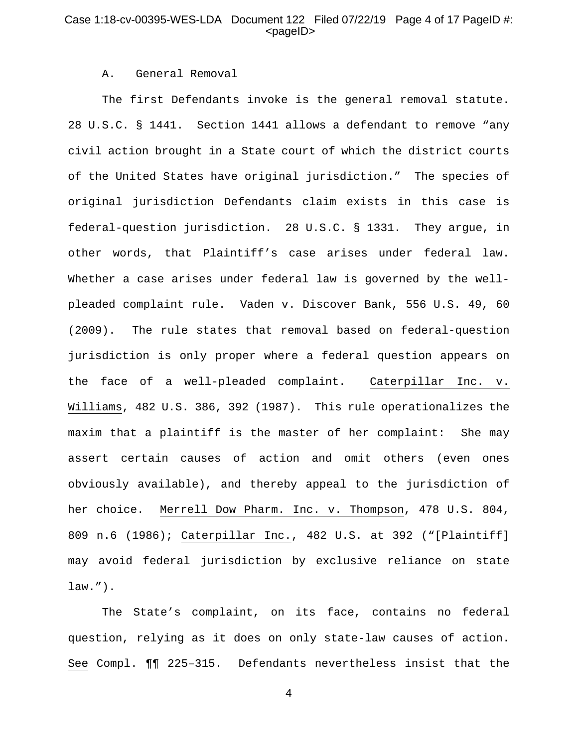# Case 1:18-cv-00395-WES-LDA Document 122 Filed 07/22/19 Page 4 of 17 PageID #:  $<$ pageID $>$

# A. General Removal

The first Defendants invoke is the general removal statute. 28 U.S.C. § 1441. Section 1441 allows a defendant to remove "any civil action brought in a State court of which the district courts of the United States have original jurisdiction." The species of original jurisdiction Defendants claim exists in this case is federal-question jurisdiction. 28 U.S.C. § 1331. They argue, in other words, that Plaintiff's case arises under federal law. Whether a case arises under federal law is governed by the wellpleaded complaint rule. Vaden v. Discover Bank, 556 U.S. 49, 60 (2009). The rule states that removal based on federal-question jurisdiction is only proper where a federal question appears on the face of a well-pleaded complaint. Caterpillar Inc. v. Williams, 482 U.S. 386, 392 (1987). This rule operationalizes the maxim that a plaintiff is the master of her complaint: She may assert certain causes of action and omit others (even ones obviously available), and thereby appeal to the jurisdiction of her choice. Merrell Dow Pharm. Inc. v. Thompson, 478 U.S. 804, 809 n.6 (1986); Caterpillar Inc., 482 U.S. at 392 ("[Plaintiff] may avoid federal jurisdiction by exclusive reliance on state law.").

The State's complaint, on its face, contains no federal question, relying as it does on only state-law causes of action. See Compl. ¶¶ 225–315. Defendants nevertheless insist that the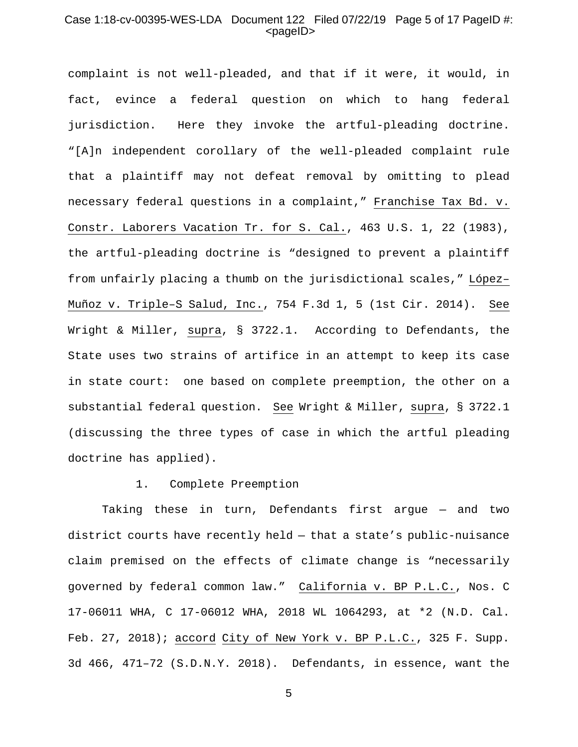# Case 1:18-cv-00395-WES-LDA Document 122 Filed 07/22/19 Page 5 of 17 PageID #: <pageID>

complaint is not well-pleaded, and that if it were, it would, in fact, evince a federal question on which to hang federal jurisdiction. Here they invoke the artful-pleading doctrine. "[A]n independent corollary of the well-pleaded complaint rule that a plaintiff may not defeat removal by omitting to plead necessary federal questions in a complaint," Franchise Tax Bd. v. Constr. Laborers Vacation Tr. for S. Cal., 463 U.S. 1, 22 (1983), the artful-pleading doctrine is "designed to prevent a plaintiff from unfairly placing a thumb on the jurisdictional scales," López– Muñoz v. Triple–S Salud, Inc., 754 F.3d 1, 5 (1st Cir. 2014). See Wright & Miller, supra, § 3722.1. According to Defendants, the State uses two strains of artifice in an attempt to keep its case in state court: one based on complete preemption, the other on a substantial federal question. See Wright & Miller, supra, § 3722.1 (discussing the three types of case in which the artful pleading doctrine has applied).

#### 1. Complete Preemption

Taking these in turn, Defendants first argue — and two district courts have recently held — that a state's public-nuisance claim premised on the effects of climate change is "necessarily governed by federal common law." California v. BP P.L.C., Nos. C 17-06011 WHA, C 17-06012 WHA, 2018 WL 1064293, at \*2 (N.D. Cal. Feb. 27, 2018); accord City of New York v. BP P.L.C., 325 F. Supp. 3d 466, 471–72 (S.D.N.Y. 2018). Defendants, in essence, want the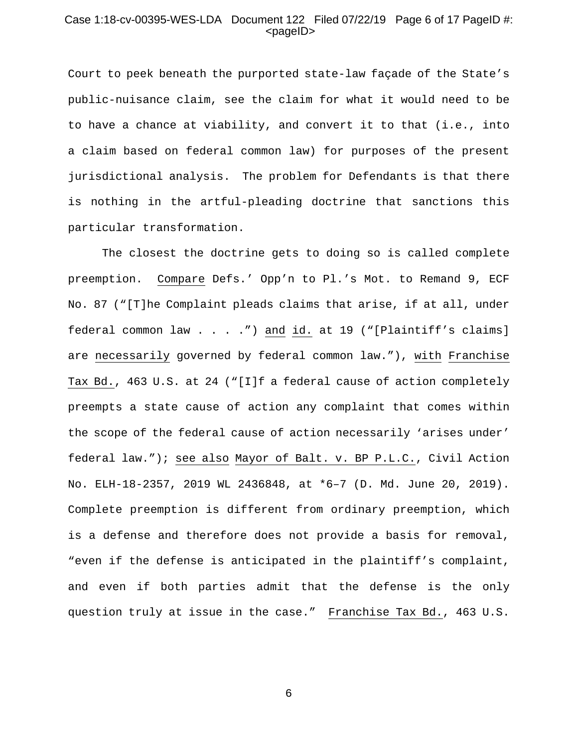# Case 1:18-cv-00395-WES-LDA Document 122 Filed 07/22/19 Page 6 of 17 PageID #:  $<$ pageID $>$

Court to peek beneath the purported state-law façade of the State's public-nuisance claim, see the claim for what it would need to be to have a chance at viability, and convert it to that (i.e., into a claim based on federal common law) for purposes of the present jurisdictional analysis. The problem for Defendants is that there is nothing in the artful-pleading doctrine that sanctions this particular transformation.

The closest the doctrine gets to doing so is called complete preemption. Compare Defs.' Opp'n to Pl.'s Mot. to Remand 9, ECF No. 87 ("[T]he Complaint pleads claims that arise, if at all, under federal common law . . . .") and id. at 19 ("[Plaintiff's claims] are necessarily governed by federal common law."), with Franchise Tax Bd., 463 U.S. at 24 ("[I]f a federal cause of action completely preempts a state cause of action any complaint that comes within the scope of the federal cause of action necessarily 'arises under' federal law."); see also Mayor of Balt. v. BP P.L.C., Civil Action No. ELH-18-2357, 2019 WL 2436848, at \*6–7 (D. Md. June 20, 2019). Complete preemption is different from ordinary preemption, which is a defense and therefore does not provide a basis for removal, "even if the defense is anticipated in the plaintiff's complaint, and even if both parties admit that the defense is the only question truly at issue in the case." Franchise Tax Bd., 463 U.S.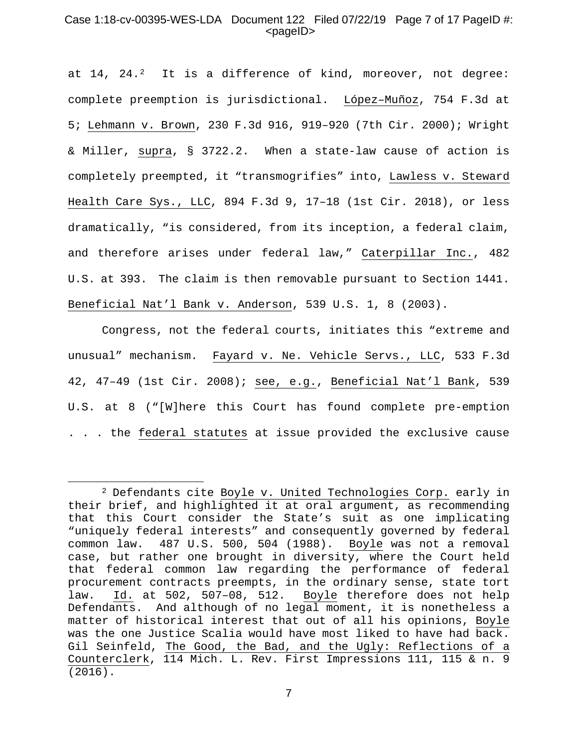# Case 1:18-cv-00395-WES-LDA Document 122 Filed 07/22/19 Page 7 of 17 PageID #:  $<$ pageID $>$

at  $14$ ,  $24.2$  $24.2$  It is a difference of kind, moreover, not degree: complete preemption is jurisdictional. López–Muñoz, 754 F.3d at 5; Lehmann v. Brown, 230 F.3d 916, 919–920 (7th Cir. 2000); Wright & Miller, supra, § 3722.2. When a state-law cause of action is completely preempted, it "transmogrifies" into, Lawless v. Steward Health Care Sys., LLC, 894 F.3d 9, 17–18 (1st Cir. 2018), or less dramatically, "is considered, from its inception, a federal claim, and therefore arises under federal law," Caterpillar Inc., 482 U.S. at 393. The claim is then removable pursuant to Section 1441. Beneficial Nat'l Bank v. Anderson, 539 U.S. 1, 8 (2003).

Congress, not the federal courts, initiates this "extreme and unusual" mechanism. Fayard v. Ne. Vehicle Servs., LLC, 533 F.3d 42, 47–49 (1st Cir. 2008); see, e.g., Beneficial Nat'l Bank, 539 U.S. at 8 ("[W]here this Court has found complete pre-emption . . . the federal statutes at issue provided the exclusive cause

l

<span id="page-6-0"></span><sup>2</sup> Defendants cite Boyle v. United Technologies Corp. early in their brief, and highlighted it at oral argument, as recommending that this Court consider the State's suit as one implicating "uniquely federal interests" and consequently governed by federal common law. 487 U.S. 500, 504 (1988). Boyle was not a removal case, but rather one brought in diversity, where the Court held that federal common law regarding the performance of federal procurement contracts preempts, in the ordinary sense, state tort law. Id. at 502, 507–08, 512. Boyle therefore does not help Defendants. And although of no legal moment, it is nonetheless a matter of historical interest that out of all his opinions, Boyle was the one Justice Scalia would have most liked to have had back. Gil Seinfeld, The Good, the Bad, and the Ugly: Reflections of a Counterclerk, 114 Mich. L. Rev. First Impressions 111, 115 & n. 9 (2016).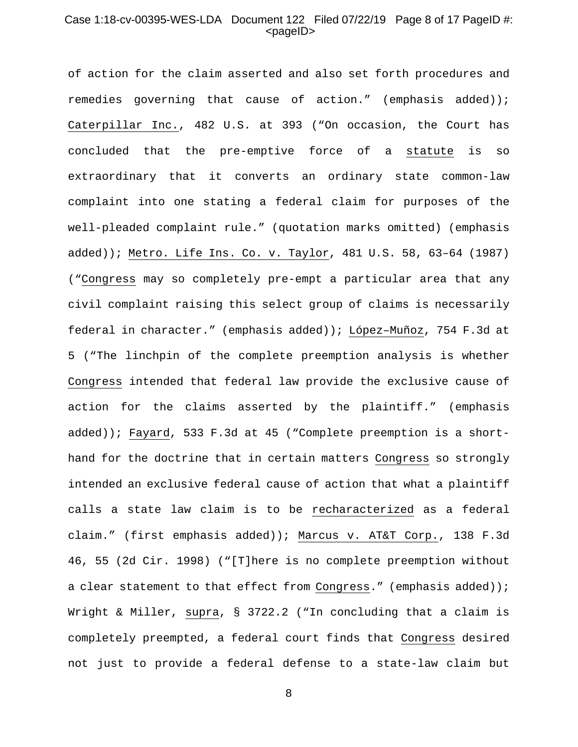# Case 1:18-cv-00395-WES-LDA Document 122 Filed 07/22/19 Page 8 of 17 PageID #:  $<$ pageID $>$

of action for the claim asserted and also set forth procedures and remedies governing that cause of action." (emphasis added)); Caterpillar Inc., 482 U.S. at 393 ("On occasion, the Court has concluded that the pre-emptive force of a statute is so extraordinary that it converts an ordinary state common-law complaint into one stating a federal claim for purposes of the well-pleaded complaint rule." (quotation marks omitted) (emphasis added)); Metro. Life Ins. Co. v. Taylor, 481 U.S. 58, 63–64 (1987) ("Congress may so completely pre-empt a particular area that any civil complaint raising this select group of claims is necessarily federal in character." (emphasis added)); López–Muñoz, 754 F.3d at 5 ("The linchpin of the complete preemption analysis is whether Congress intended that federal law provide the exclusive cause of action for the claims asserted by the plaintiff." (emphasis added)); Fayard, 533 F.3d at 45 ("Complete preemption is a shorthand for the doctrine that in certain matters Congress so strongly intended an exclusive federal cause of action that what a plaintiff calls a state law claim is to be recharacterized as a federal claim." (first emphasis added)); Marcus v. AT&T Corp., 138 F.3d 46, 55 (2d Cir. 1998) ("[T]here is no complete preemption without a clear statement to that effect from Congress." (emphasis added)); Wright & Miller, supra, § 3722.2 ("In concluding that a claim is completely preempted, a federal court finds that Congress desired not just to provide a federal defense to a state-law claim but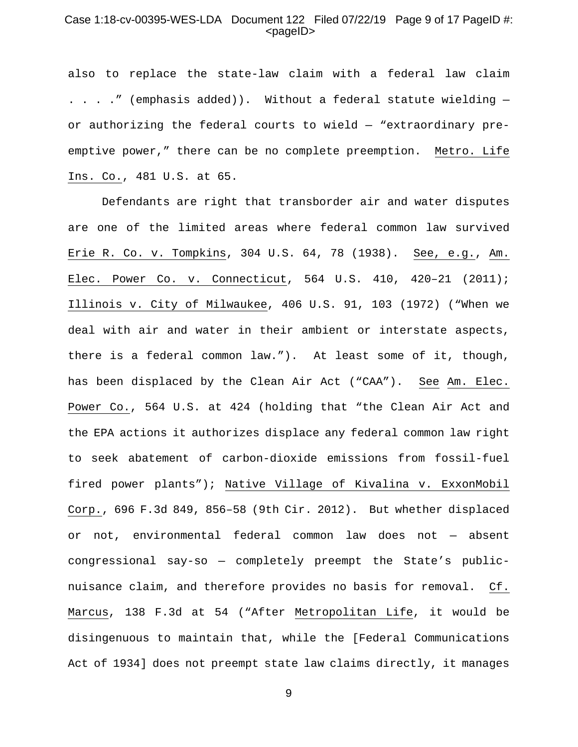### Case 1:18-cv-00395-WES-LDA Document 122 Filed 07/22/19 Page 9 of 17 PageID #:  $<$ pageID $>$

also to replace the state-law claim with a federal law claim . . . ." (emphasis added)). Without a federal statute wielding or authorizing the federal courts to wield — "extraordinary preemptive power," there can be no complete preemption. Metro. Life Ins. Co., 481 U.S. at 65.

Defendants are right that transborder air and water disputes are one of the limited areas where federal common law survived Erie R. Co. v. Tompkins, 304 U.S. 64, 78 (1938). See, e.g., Am. Elec. Power Co. v. Connecticut, 564 U.S. 410, 420–21 (2011); Illinois v. City of Milwaukee, 406 U.S. 91, 103 (1972) ("When we deal with air and water in their ambient or interstate aspects, there is a federal common law."). At least some of it, though, has been displaced by the Clean Air Act ("CAA"). See Am. Elec. Power Co., 564 U.S. at 424 (holding that "the Clean Air Act and the EPA actions it authorizes displace any federal common law right to seek abatement of carbon-dioxide emissions from fossil-fuel fired power plants"); Native Village of Kivalina v. ExxonMobil Corp., 696 F.3d 849, 856–58 (9th Cir. 2012). But whether displaced or not, environmental federal common law does not — absent congressional say-so — completely preempt the State's publicnuisance claim, and therefore provides no basis for removal. Cf. Marcus, 138 F.3d at 54 ("After Metropolitan Life, it would be disingenuous to maintain that, while the [Federal Communications Act of 1934] does not preempt state law claims directly, it manages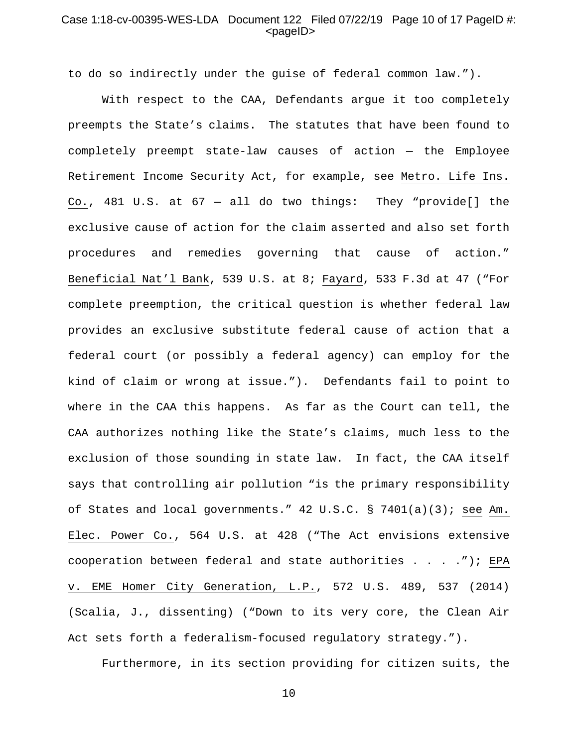# Case 1:18-cv-00395-WES-LDA Document 122 Filed 07/22/19 Page 10 of 17 PageID #:  $<$ pageID $>$

to do so indirectly under the guise of federal common law.").

With respect to the CAA, Defendants argue it too completely preempts the State's claims. The statutes that have been found to completely preempt state-law causes of action — the Employee Retirement Income Security Act, for example, see Metro. Life Ins. Co., 481 U.S. at 67 — all do two things: They "provide[] the exclusive cause of action for the claim asserted and also set forth procedures and remedies governing that cause of action." Beneficial Nat'l Bank, 539 U.S. at 8; Fayard, 533 F.3d at 47 ("For complete preemption, the critical question is whether federal law provides an exclusive substitute federal cause of action that a federal court (or possibly a federal agency) can employ for the kind of claim or wrong at issue."). Defendants fail to point to where in the CAA this happens. As far as the Court can tell, the CAA authorizes nothing like the State's claims, much less to the exclusion of those sounding in state law. In fact, the CAA itself says that controlling air pollution "is the primary responsibility of States and local governments." 42 U.S.C. § 7401(a)(3); see Am. Elec. Power Co., 564 U.S. at 428 ("The Act envisions extensive cooperation between federal and state authorities . . . ."); EPA v. EME Homer City Generation, L.P., 572 U.S. 489, 537 (2014) (Scalia, J., dissenting) ("Down to its very core, the Clean Air Act sets forth a federalism-focused regulatory strategy.").

Furthermore, in its section providing for citizen suits, the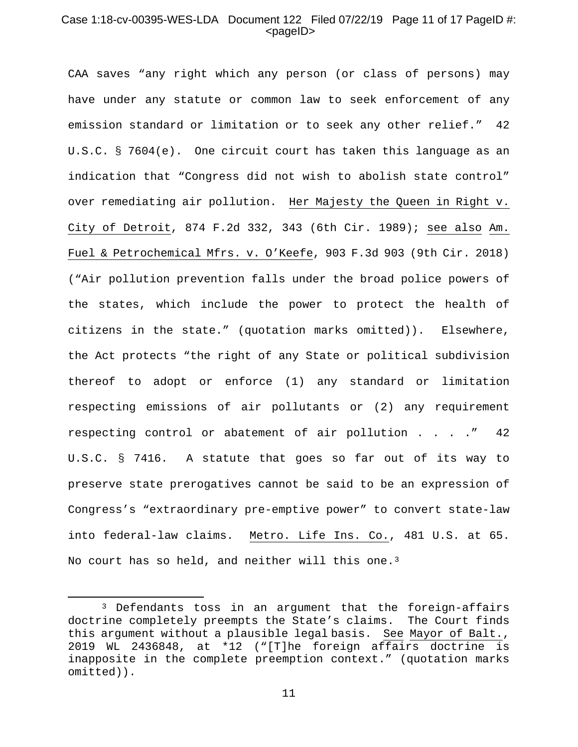#### Case 1:18-cv-00395-WES-LDA Document 122 Filed 07/22/19 Page 11 of 17 PageID #:  $<$ pageID $>$

CAA saves "any right which any person (or class of persons) may have under any statute or common law to seek enforcement of any emission standard or limitation or to seek any other relief." 42 U.S.C. § 7604(e). One circuit court has taken this language as an indication that "Congress did not wish to abolish state control" over remediating air pollution. Her Majesty the Queen in Right v. City of Detroit, 874 F.2d 332, 343 (6th Cir. 1989); see also Am. Fuel & Petrochemical Mfrs. v. O'Keefe, 903 F.3d 903 (9th Cir. 2018) ("Air pollution prevention falls under the broad police powers of the states, which include the power to protect the health of citizens in the state." (quotation marks omitted)). Elsewhere, the Act protects "the right of any State or political subdivision thereof to adopt or enforce (1) any standard or limitation respecting emissions of air pollutants or (2) any requirement respecting control or abatement of air pollution . . . ." 42 U.S.C. § 7416. A statute that goes so far out of its way to preserve state prerogatives cannot be said to be an expression of Congress's "extraordinary pre-emptive power" to convert state-law into federal-law claims. Metro. Life Ins. Co., 481 U.S. at 65. No court has so held, and neither will this one.<sup>[3](#page-10-0)</sup>

 $\overline{\phantom{a}}$ 

<span id="page-10-0"></span><sup>3</sup> Defendants toss in an argument that the foreign-affairs doctrine completely preempts the State's claims. The Court finds this argument without a plausible legal basis. See Mayor of Balt., 2019 WL 2436848, at \*12 ("[T]he foreign affairs doctrine is inapposite in the complete preemption context." (quotation marks omitted)).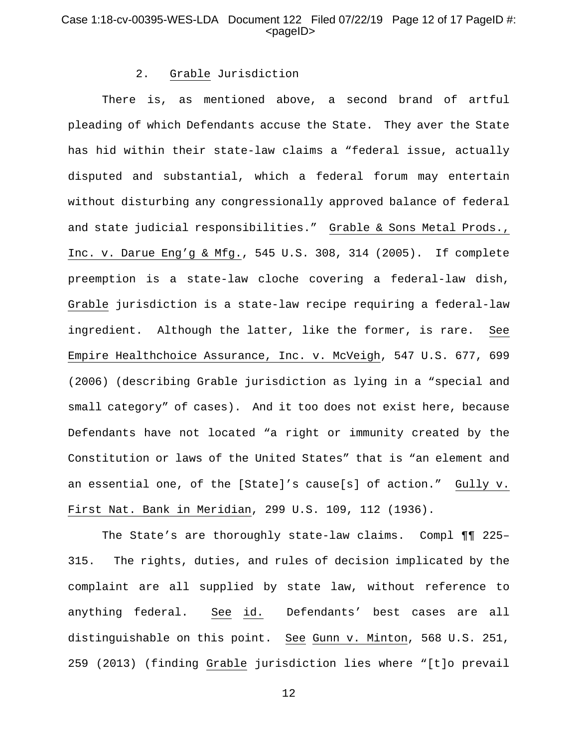# Case 1:18-cv-00395-WES-LDA Document 122 Filed 07/22/19 Page 12 of 17 PageID #:  $<$ pageID $>$

# 2. Grable Jurisdiction

There is, as mentioned above, a second brand of artful pleading of which Defendants accuse the State. They aver the State has hid within their state-law claims a "federal issue, actually disputed and substantial, which a federal forum may entertain without disturbing any congressionally approved balance of federal and state judicial responsibilities." Grable & Sons Metal Prods., Inc. v. Darue Eng'g & Mfg., 545 U.S. 308, 314 (2005). If complete preemption is a state-law cloche covering a federal-law dish, Grable jurisdiction is a state-law recipe requiring a federal-law ingredient. Although the latter, like the former, is rare. See Empire Healthchoice Assurance, Inc. v. McVeigh, 547 U.S. 677, 699 (2006) (describing Grable jurisdiction as lying in a "special and small category" of cases). And it too does not exist here, because Defendants have not located "a right or immunity created by the Constitution or laws of the United States" that is "an element and an essential one, of the [State]'s cause[s] of action." Gully v. First Nat. Bank in Meridian, 299 U.S. 109, 112 (1936).

The State's are thoroughly state-law claims. Compl ¶¶ 225– 315. The rights, duties, and rules of decision implicated by the complaint are all supplied by state law, without reference to anything federal. See id. Defendants' best cases are all distinguishable on this point. See Gunn v. Minton, 568 U.S. 251, 259 (2013) (finding Grable jurisdiction lies where "[t]o prevail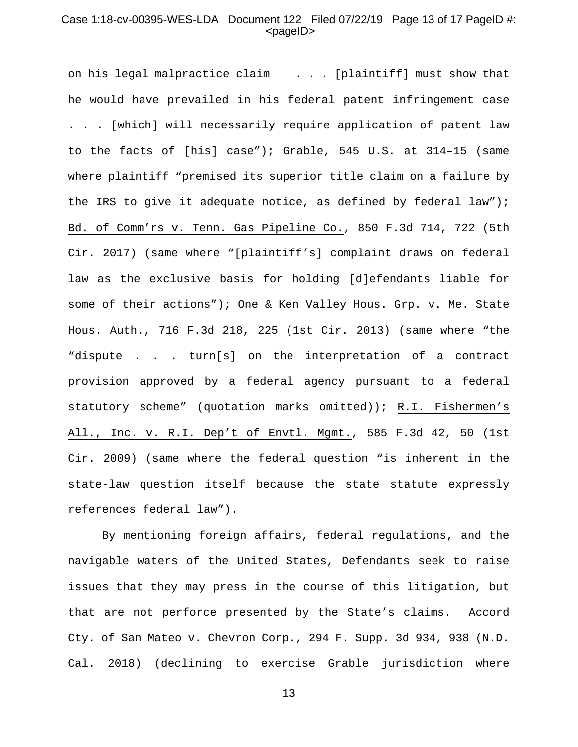# Case 1:18-cv-00395-WES-LDA Document 122 Filed 07/22/19 Page 13 of 17 PageID #:  $<$ pageID $>$

on his legal malpractice claim . . . [plaintiff] must show that he would have prevailed in his federal patent infringement case . . . [which] will necessarily require application of patent law to the facts of [his] case"); Grable, 545 U.S. at 314–15 (same where plaintiff "premised its superior title claim on a failure by the IRS to give it adequate notice, as defined by federal law"); Bd. of Comm'rs v. Tenn. Gas Pipeline Co., 850 F.3d 714, 722 (5th Cir. 2017) (same where "[plaintiff's] complaint draws on federal law as the exclusive basis for holding [d]efendants liable for some of their actions"); One & Ken Valley Hous. Grp. v. Me. State Hous. Auth., 716 F.3d 218, 225 (1st Cir. 2013) (same where "the "dispute . . . turn[s] on the interpretation of a contract provision approved by a federal agency pursuant to a federal statutory scheme" (quotation marks omitted)); R.I. Fishermen's All., Inc. v. R.I. Dep't of Envtl. Mgmt., 585 F.3d 42, 50 (1st Cir. 2009) (same where the federal question "is inherent in the state-law question itself because the state statute expressly references federal law").

By mentioning foreign affairs, federal regulations, and the navigable waters of the United States, Defendants seek to raise issues that they may press in the course of this litigation, but that are not perforce presented by the State's claims. Accord Cty. of San Mateo v. Chevron Corp., 294 F. Supp. 3d 934, 938 (N.D. Cal. 2018) (declining to exercise Grable jurisdiction where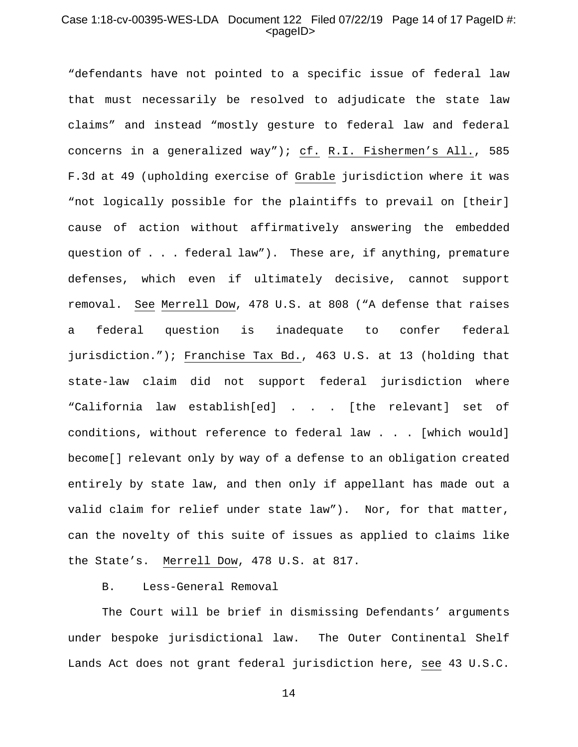# Case 1:18-cv-00395-WES-LDA Document 122 Filed 07/22/19 Page 14 of 17 PageID #:  $<$ pageID $>$

"defendants have not pointed to a specific issue of federal law that must necessarily be resolved to adjudicate the state law claims" and instead "mostly gesture to federal law and federal concerns in a generalized way"); cf. R.I. Fishermen's All., 585 F.3d at 49 (upholding exercise of Grable jurisdiction where it was "not logically possible for the plaintiffs to prevail on [their] cause of action without affirmatively answering the embedded question of . . . federal law"). These are, if anything, premature defenses, which even if ultimately decisive, cannot support removal. See Merrell Dow, 478 U.S. at 808 ("A defense that raises a federal question is inadequate to confer federal jurisdiction."); Franchise Tax Bd., 463 U.S. at 13 (holding that state-law claim did not support federal jurisdiction where "California law establish[ed] . . . [the relevant] set of conditions, without reference to federal law . . . [which would] become[] relevant only by way of a defense to an obligation created entirely by state law, and then only if appellant has made out a valid claim for relief under state law"). Nor, for that matter, can the novelty of this suite of issues as applied to claims like the State's. Merrell Dow, 478 U.S. at 817.

# B. Less-General Removal

The Court will be brief in dismissing Defendants' arguments under bespoke jurisdictional law. The Outer Continental Shelf Lands Act does not grant federal jurisdiction here, see 43 U.S.C.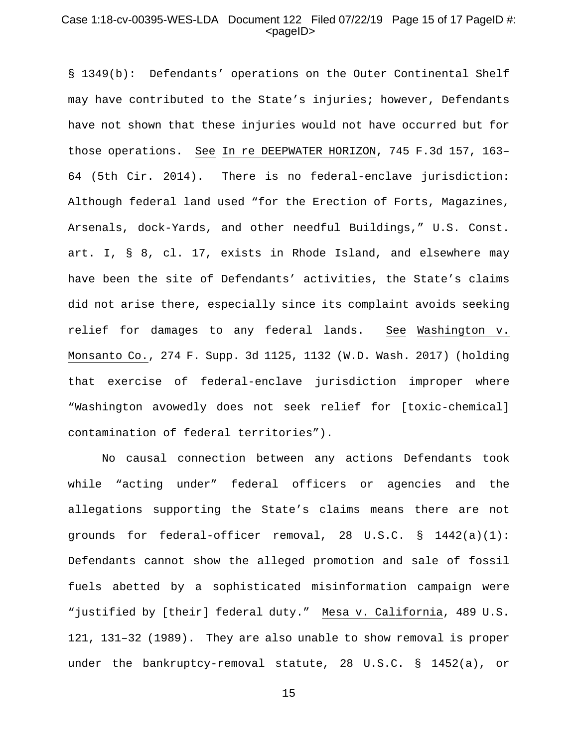# Case 1:18-cv-00395-WES-LDA Document 122 Filed 07/22/19 Page 15 of 17 PageID #:  $<$ pageID $>$

§ 1349(b): Defendants' operations on the Outer Continental Shelf may have contributed to the State's injuries; however, Defendants have not shown that these injuries would not have occurred but for those operations. See In re DEEPWATER HORIZON, 745 F.3d 157, 163– 64 (5th Cir. 2014). There is no federal-enclave jurisdiction: Although federal land used "for the Erection of Forts, Magazines, Arsenals, dock-Yards, and other needful Buildings," U.S. Const. art. I, § 8, cl. 17, exists in Rhode Island, and elsewhere may have been the site of Defendants' activities, the State's claims did not arise there, especially since its complaint avoids seeking relief for damages to any federal lands. See Washington v. Monsanto Co., 274 F. Supp. 3d 1125, 1132 (W.D. Wash. 2017) (holding that exercise of federal-enclave jurisdiction improper where "Washington avowedly does not seek relief for [toxic-chemical] contamination of federal territories").

No causal connection between any actions Defendants took while "acting under" federal officers or agencies and the allegations supporting the State's claims means there are not grounds for federal-officer removal, 28 U.S.C. § 1442(a)(1): Defendants cannot show the alleged promotion and sale of fossil fuels abetted by a sophisticated misinformation campaign were "justified by [their] federal duty." Mesa v. California, 489 U.S. 121, 131–32 (1989). They are also unable to show removal is proper under the bankruptcy-removal statute, 28 U.S.C. § 1452(a), or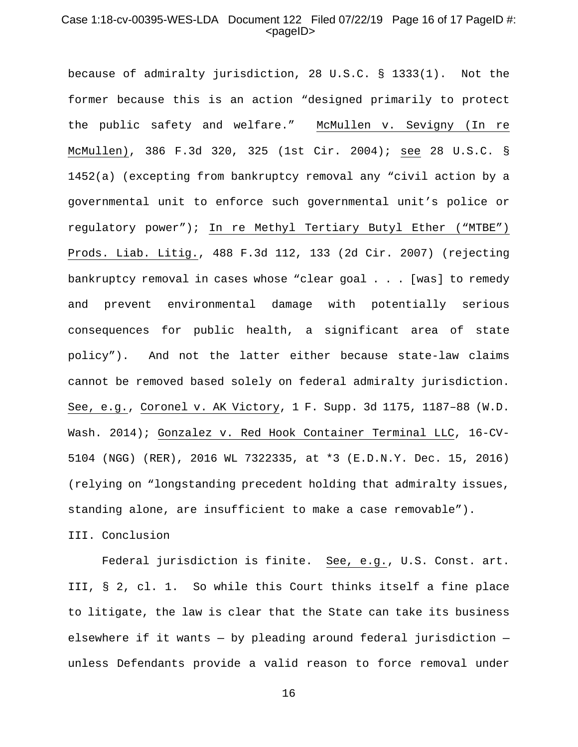# Case 1:18-cv-00395-WES-LDA Document 122 Filed 07/22/19 Page 16 of 17 PageID #:  $<$ pageID $>$

because of admiralty jurisdiction, 28 U.S.C. § 1333(1). Not the former because this is an action "designed primarily to protect the public safety and welfare." McMullen v. Sevigny (In re McMullen), 386 F.3d 320, 325 (1st Cir. 2004); see 28 U.S.C. § 1452(a) (excepting from bankruptcy removal any "civil action by a governmental unit to enforce such governmental unit's police or regulatory power"); In re Methyl Tertiary Butyl Ether ("MTBE") Prods. Liab. Litig., 488 F.3d 112, 133 (2d Cir. 2007) (rejecting bankruptcy removal in cases whose "clear goal . . . [was] to remedy and prevent environmental damage with potentially serious consequences for public health, a significant area of state policy"). And not the latter either because state-law claims cannot be removed based solely on federal admiralty jurisdiction. See, e.g., Coronel v. AK Victory, 1 F. Supp. 3d 1175, 1187–88 (W.D. Wash. 2014); Gonzalez v. Red Hook Container Terminal LLC, 16-CV-5104 (NGG) (RER), 2016 WL 7322335, at \*3 (E.D.N.Y. Dec. 15, 2016) (relying on "longstanding precedent holding that admiralty issues, standing alone, are insufficient to make a case removable"). III. Conclusion

Federal jurisdiction is finite. See, e.g., U.S. Const. art.

III, § 2, cl. 1. So while this Court thinks itself a fine place to litigate, the law is clear that the State can take its business elsewhere if it wants — by pleading around federal jurisdiction unless Defendants provide a valid reason to force removal under